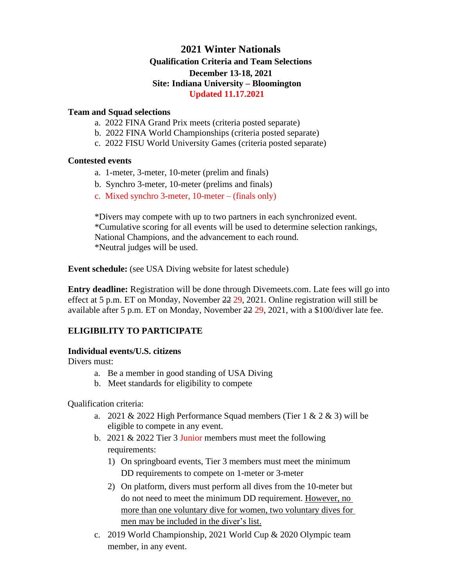# **2021 Winter Nationals Qualification Criteria and Team Selections December 13-18, 2021 Site: Indiana University – Bloomington Updated 11.17.2021**

### **Team and Squad selections**

- a. 2022 FINA Grand Prix meets (criteria posted separate)
- b. 2022 FINA World Championships (criteria posted separate)
- c. 2022 FISU World University Games (criteria posted separate)

#### **Contested events**

- a. 1-meter, 3-meter, 10-meter (prelim and finals)
- b. Synchro 3-meter, 10-meter (prelims and finals)
- c. Mixed synchro 3-meter, 10-meter (finals only)

\*Divers may compete with up to two partners in each synchronized event. \*Cumulative scoring for all events will be used to determine selection rankings, National Champions, and the advancement to each round. \*Neutral judges will be used.

**Event schedule:** (see USA Diving website for latest schedule)

**Entry deadline:** Registration will be done through Divemeets.com. Late fees will go into effect at 5 p.m. ET on Monday, November 22 29, 2021. Online registration will still be available after 5 p.m. ET on Monday, November 22 29, 2021, with a \$100/diver late fee.

# **ELIGIBILITY TO PARTICIPATE**

## **Individual events/U.S. citizens**

Divers must:

- a. Be a member in good standing of USA Diving
- b. Meet standards for eligibility to compete

Qualification criteria:

- a. 2021 & 2022 High Performance Squad members (Tier  $1 \& 2 \& 3$ ) will be eligible to compete in any event.
- b. 2021 & 2022 Tier 3 Junior members must meet the following requirements:
	- 1) On springboard events, Tier 3 members must meet the minimum DD requirements to compete on 1-meter or 3-meter
	- 2) On platform, divers must perform all dives from the 10-meter but do not need to meet the minimum DD requirement. However, no more than one voluntary dive for women, two voluntary dives for men may be included in the diver's list.
- c. 2019 World Championship, 2021 World Cup & 2020 Olympic team member, in any event.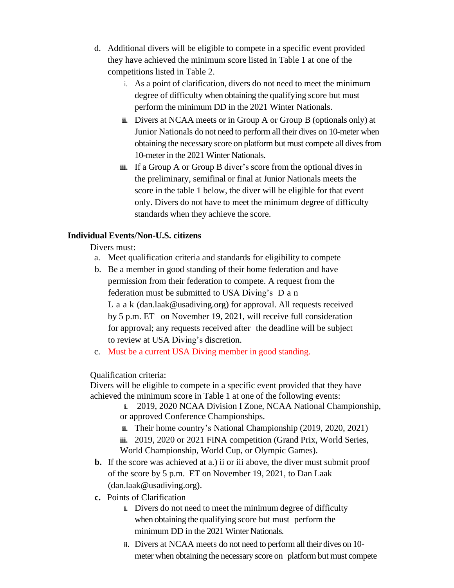- d. Additional divers will be eligible to compete in a specific event provided they have achieved the minimum score listed in Table 1 at one of the competitions listed in Table 2.
	- i. As a point of clarification, divers do not need to meet the minimum degree of difficulty when obtaining the qualifying score but must perform the minimum DD in the 2021 Winter Nationals.
	- **ii.** Divers at NCAA meets or in Group A or Group B (optionals only) at Junior Nationals do not need to perform all their dives on 10-meter when obtaining the necessary score on platform but must compete all divesfrom 10-meter in the 2021 Winter Nationals.
	- **iii.** If a Group A or Group B diver's score from the optional dives in the preliminary, semifinal or final at Junior Nationals meets the score in the table 1 below, the diver will be eligible for that event only. Divers do not have to meet the minimum degree of difficulty standards when they achieve the score.

## **Individual Events/Non-U.S. citizens**

Divers must:

- a. Meet qualification criteria and standards for eligibility to compete
- b. Be a member in good standing of their home federation and have permission from their federation to compete. A request from the federation must be submitted to USA Diving's D a n L a a k (dan.laak@usadiving.org) for approval. All requests received by 5 p.m. ET on November 19, 2021, will receive full consideration for approval; any requests received after the deadline will be subject to review at USA Diving's discretion.
- c. Must be a current USA Diving member in good standing.

Qualification criteria:

Divers will be eligible to compete in a specific event provided that they have achieved the minimum score in Table 1 at one of the following events:

- **i.** 2019, 2020 NCAA Division I Zone, NCAA National Championship, or approved Conference Championships.
- **ii.** Their home country's National Championship (2019, 2020, 2021)

**iii.** 2019, 2020 or 2021 FINA competition (Grand Prix, World Series, World Championship, World Cup, or Olympic Games).

- **b.** If the score was achieved at a.) ii or iii above, the diver must submit proof of the score by 5 p.m. ET on November 19, 2021, to Dan Laak (dan.laak@usadiving.org).
- **c.** Points of Clarification
	- **i.** Divers do not need to meet the minimum degree of difficulty when obtaining the qualifying score but must perform the minimum DD in the 2021 Winter Nationals.
	- **ii.** Divers at NCAA meets do not need to perform all their dives on 10 meter when obtaining the necessary score on platform but must compete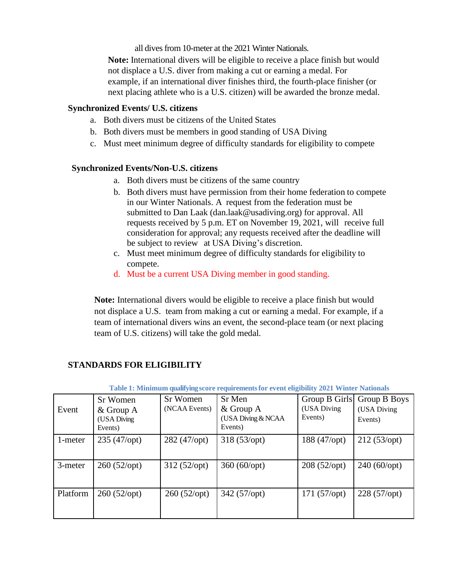all dives from 10-meter at the 2021 Winter Nationals.

**Note:** International divers will be eligible to receive a place finish but would not displace a U.S. diver from making a cut or earning a medal. For example, if an international diver finishes third, the fourth-place finisher (or next placing athlete who is a U.S. citizen) will be awarded the bronze medal.

## **Synchronized Events/ U.S. citizens**

- a. Both divers must be citizens of the United States
- b. Both divers must be members in good standing of USA Diving
- c. Must meet minimum degree of difficulty standards for eligibility to compete

#### **Synchronized Events/Non-U.S. citizens**

- a. Both divers must be citizens of the same country
- b. Both divers must have permission from their home federation to compete in our Winter Nationals. A request from the federation must be submitted to Dan Laak (dan.laak@usadiving.org) for approval. All requests received by 5 p.m. ET on November 19, 2021, will receive full consideration for approval; any requests received after the deadline will be subject to review at USA Diving's discretion.
- c. Must meet minimum degree of difficulty standards for eligibility to compete.
- d. Must be a current USA Diving member in good standing.

**Note:** International divers would be eligible to receive a place finish but would not displace a U.S. team from making a cut or earning a medal. For example, if a team of international divers wins an event, the second-place team (or next placing team of U.S. citizens) will take the gold medal.

| Table 1: Minimum qualifying score requirements for event eligibility 2021 Winter Nationals |                                                   |                           |                                                        |                        |                                                      |  |  |
|--------------------------------------------------------------------------------------------|---------------------------------------------------|---------------------------|--------------------------------------------------------|------------------------|------------------------------------------------------|--|--|
| Event                                                                                      | Sr Women<br>$&$ Group A<br>(USA Diving<br>Events) | Sr Women<br>(NCAA Events) | Sr Men<br>$&$ Group A<br>(USA Diving & NCAA<br>Events) | (USA Diving<br>Events) | Group B Girls Group B Boys<br>(USA Diving<br>Events) |  |  |
| 1-meter                                                                                    | 235 (47/opt)                                      | 282 (47/opt)              | 318 (53/opt)                                           | 188 (47/opt)           | 212(53/opt)                                          |  |  |
| 3-meter                                                                                    | 260 (52/opt)                                      | 312(52/opt)               | $360 (60 \, opt)$                                      | 208 (52/opt)           | 240 (60/opt)                                         |  |  |
| Platform                                                                                   | 260 (52/opt)                                      | $260 (52$ /opt)           | 342 (57/opt)                                           | 171(57/opt)            | 228 (57/opt)                                         |  |  |

## **STANDARDS FOR ELIGIBILITY**